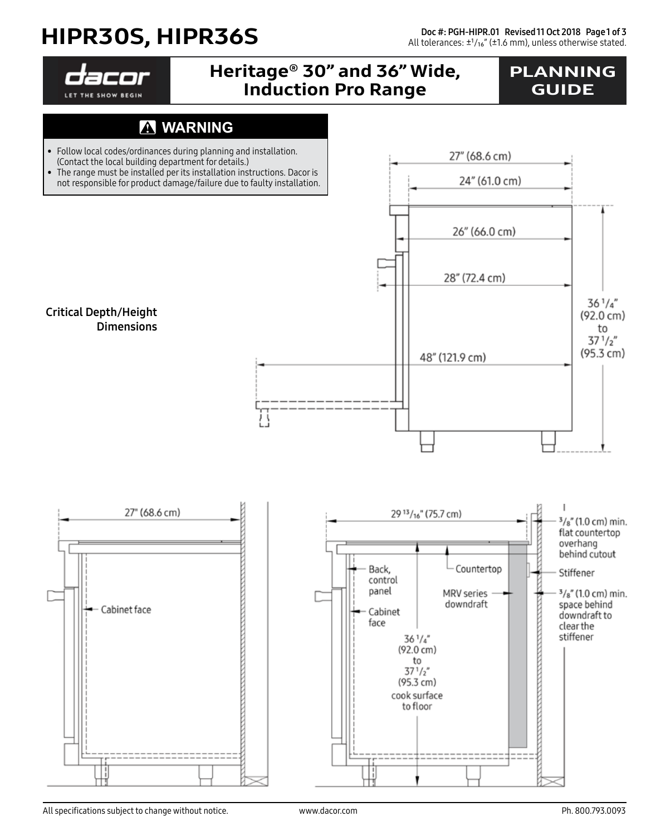## HIPR30S, HIPR36S

Doc #: PGH-HIPR.01 Revised 11 Oct 2018 Page 1 of 3 All tolerances:  $±1/16$ " (±1.6 mm), unless otherwise stated.

27" (68.6 cm)

LET THE SHOW BEGIN

### Heritage® 30" and 36" Wide, Induction Pro Range

### PLANNING **GUIDE**

#### **WARNING** A

- Follow local codes/ordinances during planning and installation. (Contact the local building department for details.)
- The range must be installed per its installation instructions. Dacor is not responsible for product damage/failure due to faulty installation.

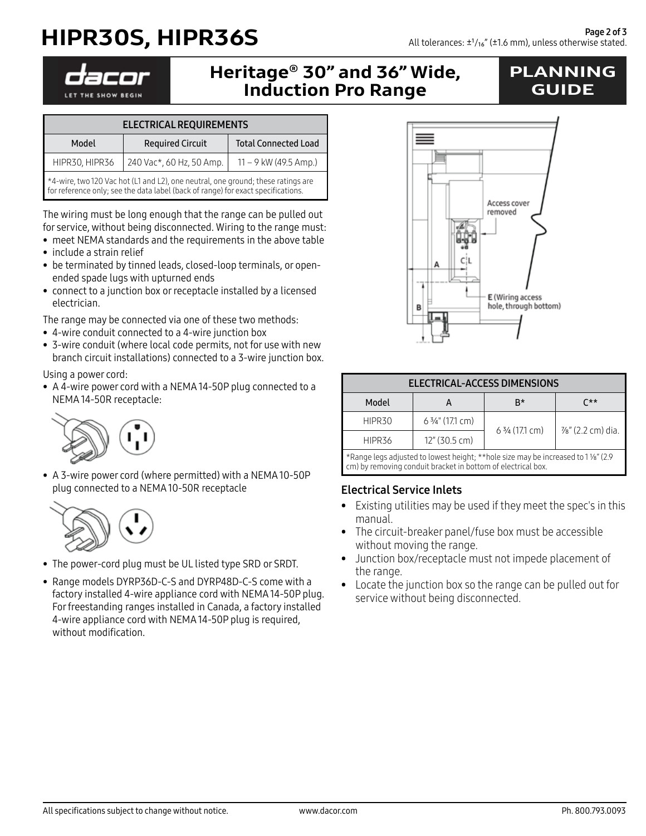# HIPR30S, HIPR36S

LET THE SHOW BEGIN

#### Heritage® 30" and 36" Wide, Induction Pro Range

### PLANNING GUIDE

| <b>ELECTRICAL REQUIREMENTS</b>                                                                                                                                       |                          |                             |  |  |
|----------------------------------------------------------------------------------------------------------------------------------------------------------------------|--------------------------|-----------------------------|--|--|
| Model                                                                                                                                                                | <b>Required Circuit</b>  | <b>Total Connected Load</b> |  |  |
| HIPR30, HIPR36                                                                                                                                                       | 240 Vac*, 60 Hz, 50 Amp. | $11 - 9$ kW (49.5 Amp.)     |  |  |
| *4-wire, two 120 Vac hot (L1 and L2), one neutral, one ground; these ratings are<br>for reference only; see the data label (back of range) for exact specifications. |                          |                             |  |  |

The wiring must be long enough that the range can be pulled out for service, without being disconnected. Wiring to the range must:

- meet NEMA standards and the requirements in the above table
- include a strain relief
- be terminated by tinned leads, closed-loop terminals, or openended spade lugs with upturned ends
- connect to a junction box or receptacle installed by a licensed electrician.

The range may be connected via one of these two methods:

- 4-wire conduit connected to a 4-wire junction box
- 3-wire conduit (where local code permits, not for use with new branch circuit installations) connected to a 3-wire junction box.

Using a power cord:

• A 4-wire power cord with a NEMA 14-50P plug connected to a NEMA 14-50R receptacle:



• A 3-wire power cord (where permitted) with a NEMA 10-50P plug connected to a NEMA 10-50R receptacle



- The power-cord plug must be UL listed type SRD or SRDT.
- Range models DYRP36D-C-S and DYRP48D-C-S come with a factory installed 4-wire appliance cord with NEMA 14-50P plug. For freestanding ranges installed in Canada, a factory installed 4-wire appliance cord with NEMA 14-50P plug is required, without modification.



| <b>ELECTRICAL-ACCESS DIMENSIONS</b>                                               |                         |                 |                  |  |
|-----------------------------------------------------------------------------------|-------------------------|-----------------|------------------|--|
| Model                                                                             |                         | R*              | r**              |  |
| HIPR30                                                                            | 6 3/4" (17.1 cm)        | 6 3/4 (17.1 cm) | %" (2.2 cm) dia. |  |
| HIPR36                                                                            | $12''(30.5 \text{ cm})$ |                 |                  |  |
| *Range legs adjusted to lowest height; **hole size may be increased to 1 %" (2.9) |                         |                 |                  |  |

cm) by removing conduit bracket in bottom of electrical box.

#### Electrical Service Inlets

- Existing utilities may be used if they meet the spec's in this manual.
- The circuit-breaker panel/fuse box must be accessible without moving the range.
- Junction box/receptacle must not impede placement of the range.
- Locate the junction box so the range can be pulled out for service without being disconnected.